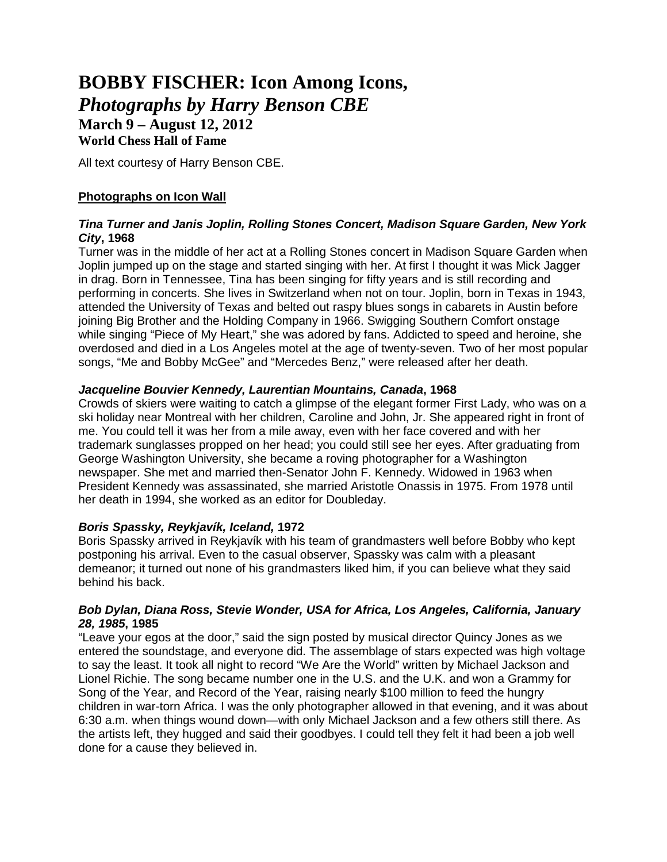# **BOBBY FISCHER: Icon Among Icons,**  *Photographs by Harry Benson CBE* **March 9 – August 12, 2012**

## **World Chess Hall of Fame**

All text courtesy of Harry Benson CBE.

# **Photographs on Icon Wall**

#### *Tina Turner and Janis Joplin, Rolling Stones Concert, Madison Square Garden, New York City***, 1968**

Turner was in the middle of her act at a Rolling Stones concert in Madison Square Garden when Joplin jumped up on the stage and started singing with her. At first I thought it was Mick Jagger in drag. Born in Tennessee, Tina has been singing for fifty years and is still recording and performing in concerts. She lives in Switzerland when not on tour. Joplin, born in Texas in 1943, attended the University of Texas and belted out raspy blues songs in cabarets in Austin before joining Big Brother and the Holding Company in 1966. Swigging Southern Comfort onstage while singing "Piece of My Heart," she was adored by fans. Addicted to speed and heroine, she overdosed and died in a Los Angeles motel at the age of twenty-seven. Two of her most popular songs, "Me and Bobby McGee" and "Mercedes Benz," were released after her death.

#### *Jacqueline Bouvier Kennedy, Laurentian Mountains, Canada***, 1968**

Crowds of skiers were waiting to catch a glimpse of the elegant former First Lady, who was on a ski holiday near Montreal with her children, Caroline and John, Jr. She appeared right in front of me. You could tell it was her from a mile away, even with her face covered and with her trademark sunglasses propped on her head; you could still see her eyes. After graduating from George Washington University, she became a roving photographer for a Washington newspaper. She met and married then-Senator John F. Kennedy. Widowed in 1963 when President Kennedy was assassinated, she married Aristotle Onassis in 1975. From 1978 until her death in 1994, she worked as an editor for Doubleday.

## *Boris Spassky, Reykjavík, Iceland,* **1972**

Boris Spassky arrived in Reykjavík with his team of grandmasters well before Bobby who kept postponing his arrival. Even to the casual observer, Spassky was calm with a pleasant demeanor; it turned out none of his grandmasters liked him, if you can believe what they said behind his back.

#### *Bob Dylan, Diana Ross, Stevie Wonder, USA for Africa, Los Angeles, California, January 28, 1985***, 1985**

"Leave your egos at the door," said the sign posted by musical director Quincy Jones as we entered the soundstage, and everyone did. The assemblage of stars expected was high voltage to say the least. It took all night to record "We Are the World" written by Michael Jackson and Lionel Richie. The song became number one in the U.S. and the U.K. and won a Grammy for Song of the Year, and Record of the Year, raising nearly \$100 million to feed the hungry children in war-torn Africa. I was the only photographer allowed in that evening, and it was about 6:30 a.m. when things wound down—with only Michael Jackson and a few others still there. As the artists left, they hugged and said their goodbyes. I could tell they felt it had been a job well done for a cause they believed in.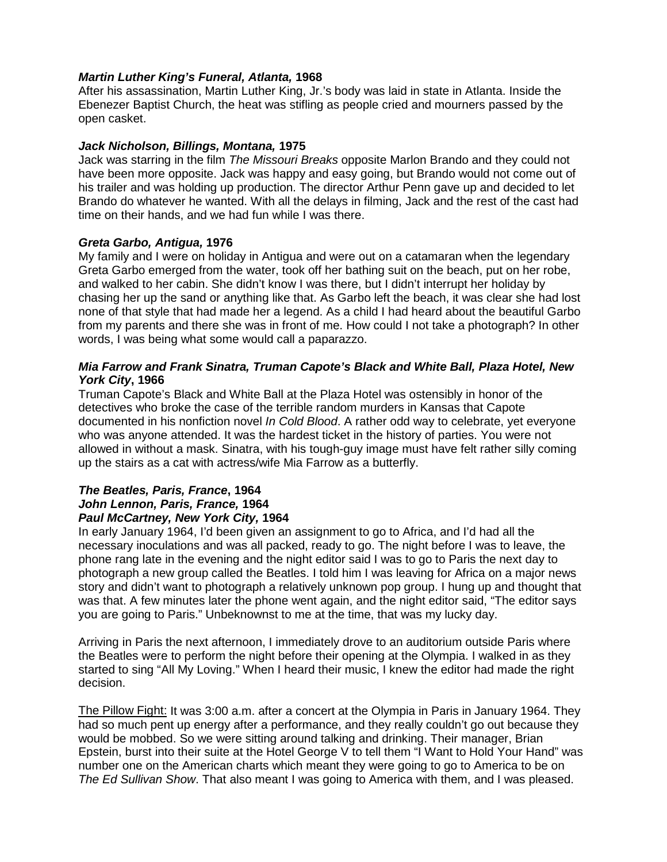#### *Martin Luther King's Funeral, Atlanta,* **1968**

After his assassination, Martin Luther King, Jr.'s body was laid in state in Atlanta. Inside the Ebenezer Baptist Church, the heat was stifling as people cried and mourners passed by the open casket.

## *Jack Nicholson, Billings, Montana,* **1975**

Jack was starring in the film *The Missouri Breaks* opposite Marlon Brando and they could not have been more opposite. Jack was happy and easy going, but Brando would not come out of his trailer and was holding up production. The director Arthur Penn gave up and decided to let Brando do whatever he wanted. With all the delays in filming, Jack and the rest of the cast had time on their hands, and we had fun while I was there.

#### *Greta Garbo, Antigua,* **1976**

My family and I were on holiday in Antigua and were out on a catamaran when the legendary Greta Garbo emerged from the water, took off her bathing suit on the beach, put on her robe, and walked to her cabin. She didn't know I was there, but I didn't interrupt her holiday by chasing her up the sand or anything like that. As Garbo left the beach, it was clear she had lost none of that style that had made her a legend. As a child I had heard about the beautiful Garbo from my parents and there she was in front of me. How could I not take a photograph? In other words, I was being what some would call a paparazzo.

#### *Mia Farrow and Frank Sinatra, Truman Capote's Black and White Ball, Plaza Hotel, New York City***, 1966**

Truman Capote's Black and White Ball at the Plaza Hotel was ostensibly in honor of the detectives who broke the case of the terrible random murders in Kansas that Capote documented in his nonfiction novel *In Cold Blood*. A rather odd way to celebrate, yet everyone who was anyone attended. It was the hardest ticket in the history of parties. You were not allowed in without a mask. Sinatra, with his tough-guy image must have felt rather silly coming up the stairs as a cat with actress/wife Mia Farrow as a butterfly.

#### *The Beatles, Paris, France***, 1964** *John Lennon, Paris, France,* **1964** *Paul McCartney, New York City,* **1964**

In early January 1964, I'd been given an assignment to go to Africa, and I'd had all the necessary inoculations and was all packed, ready to go. The night before I was to leave, the phone rang late in the evening and the night editor said I was to go to Paris the next day to photograph a new group called the Beatles. I told him I was leaving for Africa on a major news story and didn't want to photograph a relatively unknown pop group. I hung up and thought that was that. A few minutes later the phone went again, and the night editor said, "The editor says you are going to Paris." Unbeknownst to me at the time, that was my lucky day.

Arriving in Paris the next afternoon, I immediately drove to an auditorium outside Paris where the Beatles were to perform the night before their opening at the Olympia. I walked in as they started to sing "All My Loving." When I heard their music, I knew the editor had made the right decision.

The Pillow Fight: It was 3:00 a.m. after a concert at the Olympia in Paris in January 1964. They had so much pent up energy after a performance, and they really couldn't go out because they would be mobbed. So we were sitting around talking and drinking. Their manager, Brian Epstein, burst into their suite at the Hotel George V to tell them "I Want to Hold Your Hand" was number one on the American charts which meant they were going to go to America to be on *The Ed Sullivan Show*. That also meant I was going to America with them, and I was pleased.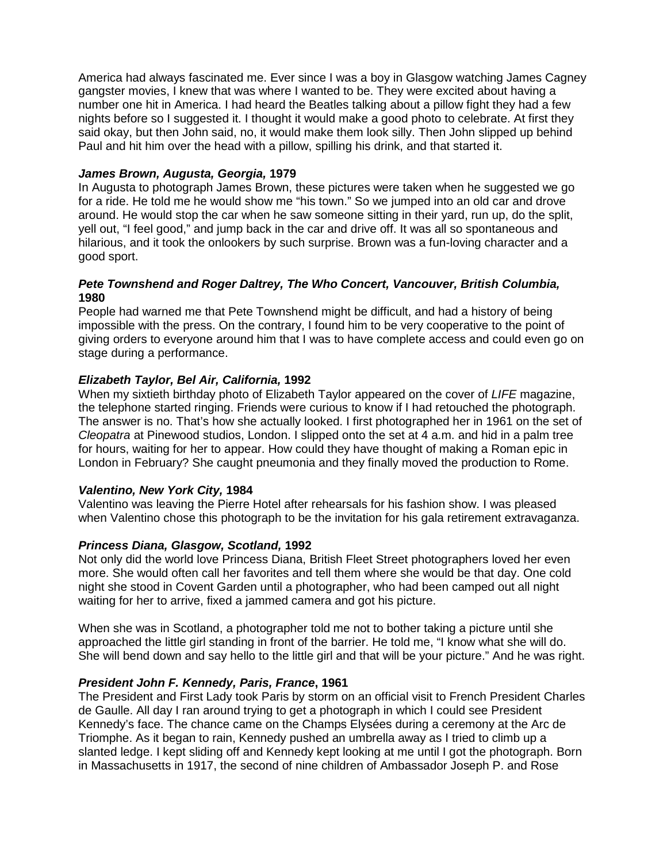America had always fascinated me. Ever since I was a boy in Glasgow watching James Cagney gangster movies, I knew that was where I wanted to be. They were excited about having a number one hit in America. I had heard the Beatles talking about a pillow fight they had a few nights before so I suggested it. I thought it would make a good photo to celebrate. At first they said okay, but then John said, no, it would make them look silly. Then John slipped up behind Paul and hit him over the head with a pillow, spilling his drink, and that started it.

#### *James Brown, Augusta, Georgia,* **1979**

In Augusta to photograph James Brown, these pictures were taken when he suggested we go for a ride. He told me he would show me "his town." So we jumped into an old car and drove around. He would stop the car when he saw someone sitting in their yard, run up, do the split, yell out, "I feel good," and jump back in the car and drive off. It was all so spontaneous and hilarious, and it took the onlookers by such surprise. Brown was a fun-loving character and a good sport.

#### *Pete Townshend and Roger Daltrey, The Who Concert, Vancouver, British Columbia,*  **1980**

People had warned me that Pete Townshend might be difficult, and had a history of being impossible with the press. On the contrary, I found him to be very cooperative to the point of giving orders to everyone around him that I was to have complete access and could even go on stage during a performance.

## *Elizabeth Taylor, Bel Air, California,* **1992**

When my sixtieth birthday photo of Elizabeth Taylor appeared on the cover of *LIFE* magazine, the telephone started ringing. Friends were curious to know if I had retouched the photograph. The answer is no. That's how she actually looked. I first photographed her in 1961 on the set of *Cleopatra* at Pinewood studios, London. I slipped onto the set at 4 a.m. and hid in a palm tree for hours, waiting for her to appear. How could they have thought of making a Roman epic in London in February? She caught pneumonia and they finally moved the production to Rome.

#### *Valentino, New York City,* **1984**

Valentino was leaving the Pierre Hotel after rehearsals for his fashion show. I was pleased when Valentino chose this photograph to be the invitation for his gala retirement extravaganza.

## *Princess Diana, Glasgow, Scotland,* **1992**

Not only did the world love Princess Diana, British Fleet Street photographers loved her even more. She would often call her favorites and tell them where she would be that day. One cold night she stood in Covent Garden until a photographer, who had been camped out all night waiting for her to arrive, fixed a jammed camera and got his picture.

When she was in Scotland, a photographer told me not to bother taking a picture until she approached the little girl standing in front of the barrier. He told me, "I know what she will do. She will bend down and say hello to the little girl and that will be your picture." And he was right.

#### *President John F. Kennedy, Paris, France***, 1961**

The President and First Lady took Paris by storm on an official visit to French President Charles de Gaulle. All day I ran around trying to get a photograph in which I could see President Kennedy's face. The chance came on the Champs Elysées during a ceremony at the Arc de Triomphe. As it began to rain, Kennedy pushed an umbrella away as I tried to climb up a slanted ledge. I kept sliding off and Kennedy kept looking at me until I got the photograph. Born in Massachusetts in 1917, the second of nine children of Ambassador Joseph P. and Rose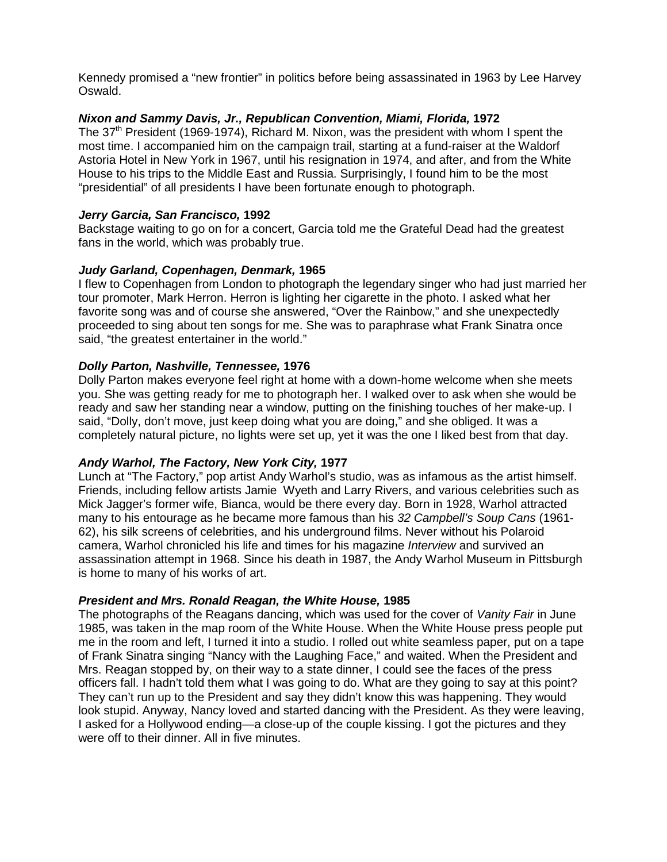Kennedy promised a "new frontier" in politics before being assassinated in 1963 by Lee Harvey Oswald.

#### *Nixon and Sammy Davis, Jr., Republican Convention, Miami, Florida,* **1972**

The 37<sup>th</sup> President (1969-1974), Richard M. Nixon, was the president with whom I spent the most time. I accompanied him on the campaign trail, starting at a fund-raiser at the Waldorf Astoria Hotel in New York in 1967, until his resignation in 1974, and after, and from the White House to his trips to the Middle East and Russia. Surprisingly, I found him to be the most "presidential" of all presidents I have been fortunate enough to photograph.

#### *Jerry Garcia, San Francisco,* **1992**

Backstage waiting to go on for a concert, Garcia told me the Grateful Dead had the greatest fans in the world, which was probably true.

#### *Judy Garland, Copenhagen, Denmark,* **1965**

I flew to Copenhagen from London to photograph the legendary singer who had just married her tour promoter, Mark Herron. Herron is lighting her cigarette in the photo. I asked what her favorite song was and of course she answered, "Over the Rainbow," and she unexpectedly proceeded to sing about ten songs for me. She was to paraphrase what Frank Sinatra once said, "the greatest entertainer in the world."

#### *Dolly Parton, Nashville, Tennessee,* **1976**

Dolly Parton makes everyone feel right at home with a down-home welcome when she meets you. She was getting ready for me to photograph her. I walked over to ask when she would be ready and saw her standing near a window, putting on the finishing touches of her make-up. I said, "Dolly, don't move, just keep doing what you are doing," and she obliged. It was a completely natural picture, no lights were set up, yet it was the one I liked best from that day.

## *Andy Warhol, The Factory, New York City,* **1977**

Lunch at "The Factory," pop artist Andy Warhol's studio, was as infamous as the artist himself. Friends, including fellow artists Jamie Wyeth and Larry Rivers, and various celebrities such as Mick Jagger's former wife, Bianca, would be there every day. Born in 1928, Warhol attracted many to his entourage as he became more famous than his *32 Campbell's Soup Cans* (1961- 62), his silk screens of celebrities, and his underground films. Never without his Polaroid camera, Warhol chronicled his life and times for his magazine *Interview* and survived an assassination attempt in 1968. Since his death in 1987, the Andy Warhol Museum in Pittsburgh is home to many of his works of art.

#### *President and Mrs. Ronald Reagan, the White House,* **1985**

The photographs of the Reagans dancing, which was used for the cover of *Vanity Fair* in June 1985, was taken in the map room of the White House. When the White House press people put me in the room and left, I turned it into a studio. I rolled out white seamless paper, put on a tape of Frank Sinatra singing "Nancy with the Laughing Face," and waited. When the President and Mrs. Reagan stopped by, on their way to a state dinner, I could see the faces of the press officers fall. I hadn't told them what I was going to do. What are they going to say at this point? They can't run up to the President and say they didn't know this was happening. They would look stupid. Anyway, Nancy loved and started dancing with the President. As they were leaving, I asked for a Hollywood ending—a close-up of the couple kissing. I got the pictures and they were off to their dinner. All in five minutes.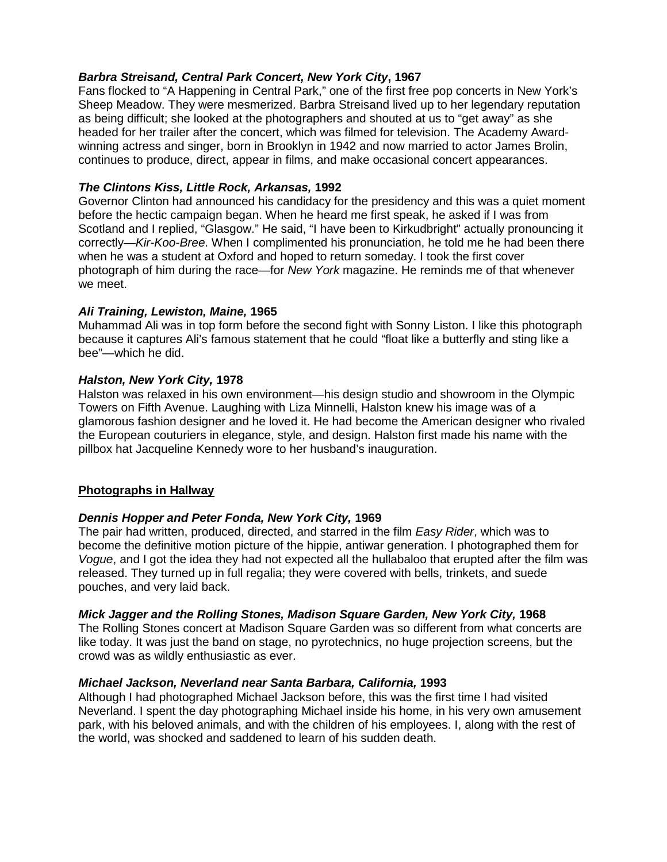# *Barbra Streisand, Central Park Concert, New York City***, 1967**

Fans flocked to "A Happening in Central Park," one of the first free pop concerts in New York's Sheep Meadow. They were mesmerized. Barbra Streisand lived up to her legendary reputation as being difficult; she looked at the photographers and shouted at us to "get away" as she headed for her trailer after the concert, which was filmed for television. The Academy Awardwinning actress and singer, born in Brooklyn in 1942 and now married to actor James Brolin, continues to produce, direct, appear in films, and make occasional concert appearances.

# *The Clintons Kiss, Little Rock, Arkansas,* **1992**

Governor Clinton had announced his candidacy for the presidency and this was a quiet moment before the hectic campaign began. When he heard me first speak, he asked if I was from Scotland and I replied, "Glasgow." He said, "I have been to Kirkudbright" actually pronouncing it correctly—*Kir-Koo-Bree*. When I complimented his pronunciation, he told me he had been there when he was a student at Oxford and hoped to return someday. I took the first cover photograph of him during the race—for *New York* magazine. He reminds me of that whenever we meet.

# *Ali Training, Lewiston, Maine,* **1965**

Muhammad Ali was in top form before the second fight with Sonny Liston. I like this photograph because it captures Ali's famous statement that he could "float like a butterfly and sting like a bee"—which he did.

## *Halston, New York City,* **1978**

Halston was relaxed in his own environment—his design studio and showroom in the Olympic Towers on Fifth Avenue. Laughing with Liza Minnelli, Halston knew his image was of a glamorous fashion designer and he loved it. He had become the American designer who rivaled the European couturiers in elegance, style, and design. Halston first made his name with the pillbox hat Jacqueline Kennedy wore to her husband's inauguration.

# **Photographs in Hallway**

## *Dennis Hopper and Peter Fonda, New York City,* **1969**

The pair had written, produced, directed, and starred in the film *Easy Rider*, which was to become the definitive motion picture of the hippie, antiwar generation. I photographed them for *Vogue*, and I got the idea they had not expected all the hullabaloo that erupted after the film was released. They turned up in full regalia; they were covered with bells, trinkets, and suede pouches, and very laid back.

## *Mick Jagger and the Rolling Stones, Madison Square Garden, New York City,* **1968**

The Rolling Stones concert at Madison Square Garden was so different from what concerts are like today. It was just the band on stage, no pyrotechnics, no huge projection screens, but the crowd was as wildly enthusiastic as ever.

## *Michael Jackson, Neverland near Santa Barbara, California,* **1993**

Although I had photographed Michael Jackson before, this was the first time I had visited Neverland. I spent the day photographing Michael inside his home, in his very own amusement park, with his beloved animals, and with the children of his employees. I, along with the rest of the world, was shocked and saddened to learn of his sudden death.